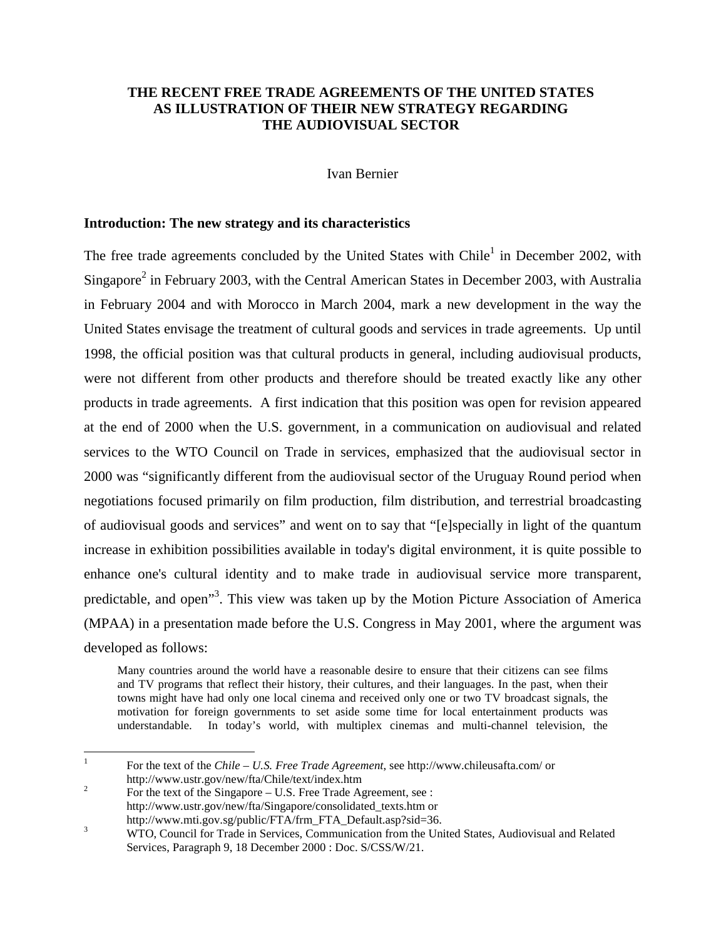## **THE RECENT FREE TRADE AGREEMENTS OF THE UNITED STATES AS ILLUSTRATION OF THEIR NEW STRATEGY REGARDING THE AUDIOVISUAL SECTOR**

Ivan Bernier

### **Introduction: The new strategy and its characteristics**

The free trade agreements concluded by the United States with Chile<sup>1</sup> in December 2002, with Singapore<sup>[2](#page-0-1)</sup> in February 2003, with the Central American States in December 2003, with Australia in February 2004 and with Morocco in March 2004, mark a new development in the way the United States envisage the treatment of cultural goods and services in trade agreements. Up until 1998, the official position was that cultural products in general, including audiovisual products, were not different from other products and therefore should be treated exactly like any other products in trade agreements. A first indication that this position was open for revision appeared at the end of 2000 when the U.S. government, in a communication on audiovisual and related services to the WTO Council on Trade in services, emphasized that the audiovisual sector in 2000 was "significantly different from the audiovisual sector of the Uruguay Round period when negotiations focused primarily on film production, film distribution, and terrestrial broadcasting of audiovisual goods and services" and went on to say that "[e]specially in light of the quantum increase in exhibition possibilities available in today's digital environment, it is quite possible to enhance one's cultural identity and to make trade in audiovisual service more transparent, predictable, and open<sup>[3](#page-0-2)</sup>. This view was taken up by the Motion Picture Association of America (MPAA) in a presentation made before the U.S. Congress in May 2001, where the argument was developed as follows:

Many countries around the world have a reasonable desire to ensure that their citizens can see films and TV programs that reflect their history, their cultures, and their languages. In the past, when their towns might have had only one local cinema and received only one or two TV broadcast signals, the motivation for foreign governments to set aside some time for local entertainment products was understandable. In today's world, with multiplex cinemas and multi-channel television, the

<span id="page-0-0"></span> $\mathbf{1}$ <sup>1</sup> For the text of the *Chile – U.S. Free Trade Agreement*, see http://www.chileusafta.com/ or

<span id="page-0-1"></span>http://www.ustr.gov/new/fta/Chile/text/index.htm<br><sup>2</sup> For the text of the Singapore – U.S. Free Trade Agreement, see : http://www.ustr.gov/new/fta/Singapore/consolidated\_texts.htm or

<span id="page-0-2"></span>http://www.mti.gov.sg/public/FTA/frm\_FTA\_Default.asp?sid=36.<br><sup>3</sup> WTO, Council for Trade in Services, Communication from the United States, Audiovisual and Related Services, Paragraph 9, 18 December 2000 : Doc. S/CSS/W/21.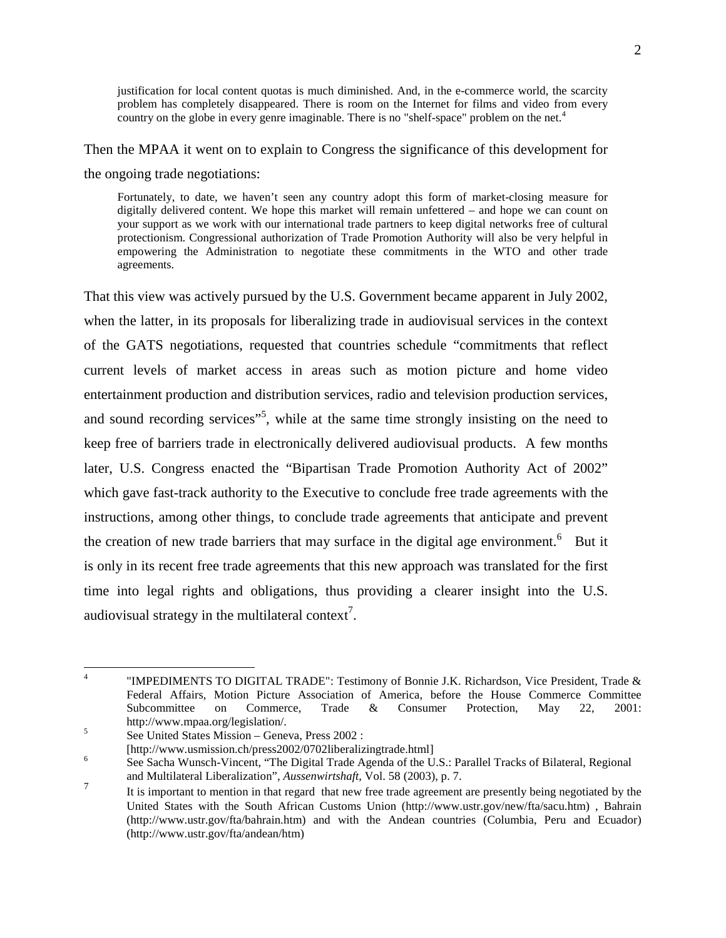justification for local content quotas is much diminished. And, in the e-commerce world, the scarcity problem has completely disappeared. There is room on the Internet for films and video from every countryon the globe in every genre imaginable. There is no "shelf-space" problem on the net. $4$ 

Then the MPAA it went on to explain to Congress the significance of this development for the ongoing trade negotiations:

Fortunately, to date, we haven't seen any country adopt this form of market-closing measure for digitally delivered content. We hope this market will remain unfettered – and hope we can count on your support as we work with our international trade partners to keep digital networks free of cultural protectionism. Congressional authorization of Trade Promotion Authority will also be very helpful in empowering the Administration to negotiate these commitments in the WTO and other trade agreements.

That this view was actively pursued by the U.S. Government became apparent in July 2002, when the latter, in its proposals for liberalizing trade in audiovisual services in the context of the GATS negotiations, requested that countries schedule "commitments that reflect current levels of market access in areas such as motion picture and home video entertainment production and distribution services, radio and television production services, and sound recording services"<sup>[5](#page-1-1)</sup>, while at the same time strongly insisting on the need to keep free of barriers trade in electronically delivered audiovisual products. A few months later, U.S. Congress enacted the "Bipartisan Trade Promotion Authority Act of 2002" which gave fast-track authority to the Executive to conclude free trade agreements with the instructions, among other things, to conclude trade agreements that anticipate and prevent the creation of new trade barriers that may surface in the digital age environment.<sup>[6](#page-1-2)</sup> But it is only in its recent free trade agreements that this new approach was translated for the first time into legal rights and obligations, thus providing a clearer insight into the U.S. audiovisual strategy in the multilateral context<sup>7</sup>.

 $\overline{4}$ 

<span id="page-1-0"></span><sup>&</sup>quot;IMPEDIMENTS TO DIGITAL TRADE": Testimony of Bonnie J.K. Richardson, Vice President, Trade & Federal Affairs, Motion Picture Association of America, before the House Commerce Committee Subcommittee on Commerce, Trade & Consumer Protection, May 22, 2001: http://www.mpaa.org/legislation/.<br>
See United States Mission – Geneva, Press 2002 :<br>
[http://www.usmission.ch/press2002/0702liberalizingtrade.html]

<span id="page-1-1"></span>

<span id="page-1-2"></span> $h$ <sup>6</sup> See Sacha Wunsch-Vincent, "The Digital Trade Agenda of the U.S.: Parallel Tracks of Bilateral, Regional and Multilateral Liberalization", *Aussenwirtshaft*, Vol. 58 (2003), p. 7.

<span id="page-1-3"></span><sup>&</sup>lt;sup>7</sup> It is important to mention in that regard that new free trade agreement are presently being negotiated by the United States with the South African Customs Union (http://www.ustr.gov/new/fta/sacu.htm) , Bahrain (http://www.ustr.gov/fta/bahrain.htm) and with the Andean countries (Columbia, Peru and Ecuador) (http://www.ustr.gov/fta/andean/htm)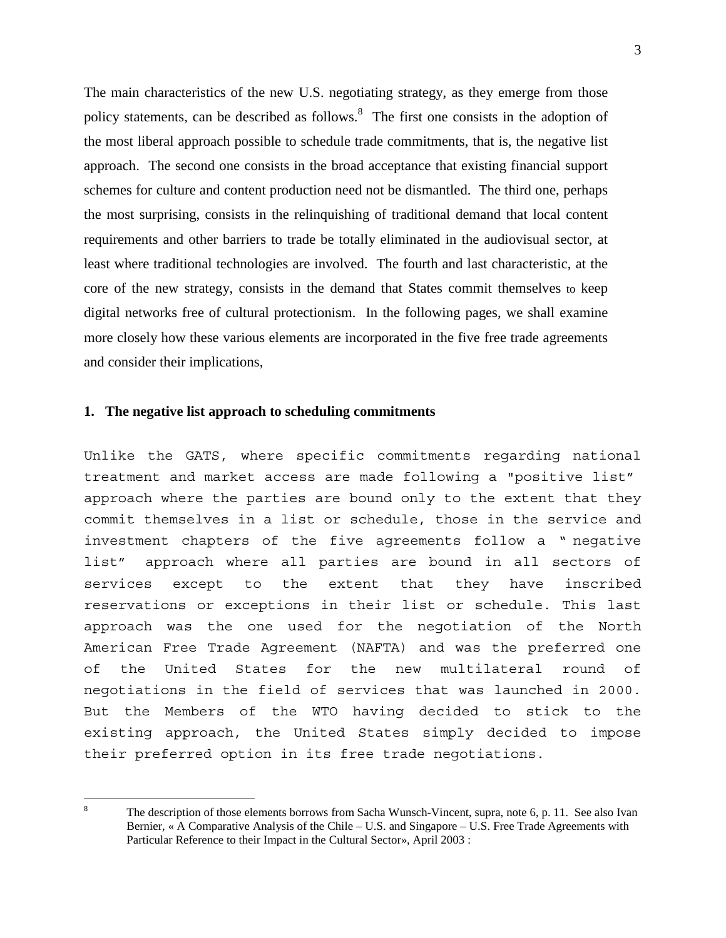<span id="page-2-0"></span>The main characteristics of the new U.S. negotiating strategy, as they emerge from those policy statements, can be described as follows.<sup>[8](#page-2-0)</sup> The first one consists in the adoption of the most liberal approach possible to schedule trade commitments, that is, the negative list approach. The second one consists in the broad acceptance that existing financial support schemes for culture and content production need not be dismantled. The third one, perhaps the most surprising, consists in the relinquishing of traditional demand that local content requirements and other barriers to trade be totally eliminated in the audiovisual sector, at least where traditional technologies are involved. The fourth and last characteristic, at the core of the new strategy, consists in the demand that States commit themselves to keep digital networks free of cultural protectionism. In the following pages, we shall examine more closely how these various elements are incorporated in the five free trade agreements and consider their implications,

#### **1. The negative list approach to scheduling commitments**

Unlike the GATS, where specific commitments regarding national treatment and market access are made following a "positive list" approach where the parties are bound only to the extent that they commit themselves in a list or schedule, those in the service and investment chapters of the five agreements follow a " negative list" approach where all parties are bound in all sectors of services except to the extent that they have inscribed reservations or exceptions in their list or schedule. This last approach was the one used for the negotiation of the North American Free Trade Agreement (NAFTA) and was the preferred one of the United States for the new multilateral round of negotiations in the field of services that was launched in 2000. But the Members of the WTO having decided to stick to the existing approach, the United States simply decided to impose their preferred option in its free trade negotiations.

 $\overline{\mathbf{x}}$ The description of those elements borrows from Sacha Wunsch-Vincent, supra, note 6, p. 11. See also Ivan Bernier, « A Comparative Analysis of the Chile – U.S. and Singapore – U.S. Free Trade Agreements with Particular Reference to their Impact in the Cultural Sector», April 2003 :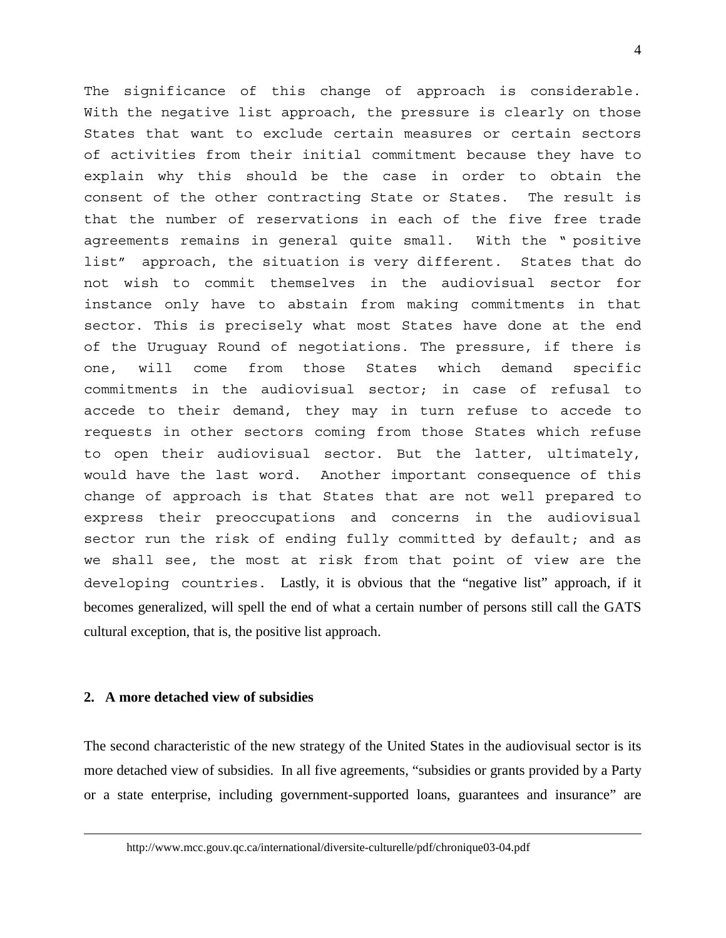The significance of this change of approach is considerable. With the negative list approach, the pressure is clearly on those States that want to exclude certain measures or certain sectors of activities from their initial commitment because they have to explain why this should be the case in order to obtain the consent of the other contracting State or States. The result is that the number of reservations in each of the five free trade agreements remains in general quite small. With the " positive list" approach, the situation is very different. States that do not wish to commit themselves in the audiovisual sector for instance only have to abstain from making commitments in that sector. This is precisely what most States have done at the end of the Uruguay Round of negotiations. The pressure, if there is one, will come from those States which demand specific commitments in the audiovisual sector; in case of refusal to accede to their demand, they may in turn refuse to accede to requests in other sectors coming from those States which refuse to open their audiovisual sector. But the latter, ultimately, would have the last word. Another important consequence of this change of approach is that States that are not well prepared to express their preoccupations and concerns in the audiovisual sector run the risk of ending fully committed by default; and as we shall see, the most at risk from that point of view are the developing countries. Lastly, it is obvious that the "negative list" approach, if it becomes generalized, will spell the end of what a certain number of persons still call the GATS cultural exception, that is, the positive list approach.

### **2. A more detached view of subsidies**

 $\overline{a}$ 

The second characteristic of the new strategy of the United States in the audiovisual sector is its more detached view of subsidies. In all five agreements, "subsidies or grants provided by a Party or a state enterprise, including government-supported loans, guarantees and insurance" are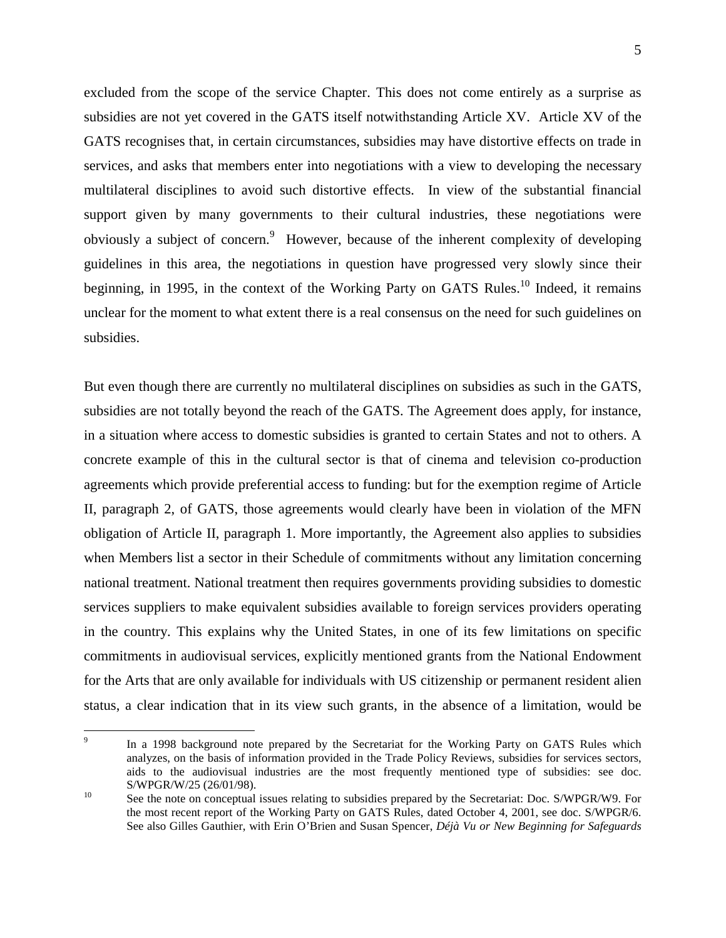<span id="page-4-1"></span>excluded from the scope of the service Chapter. This does not come entirely as a surprise as subsidies are not yet covered in the GATS itself notwithstanding Article XV. Article XV of the GATS recognises that, in certain circumstances, subsidies may have distortive effects on trade in services, and asks that members enter into negotiations with a view to developing the necessary multilateral disciplines to avoid such distortive effects. In view of the substantial financial support given by many governments to their cultural industries, these negotiations were obviously a subject of concern.<sup>[9](#page-4-0)</sup> However, because of the inherent complexity of developing guidelines in this area, the negotiations in question have progressed very slowly since their beginning, in 1995, in the context of the Working Party on GATS Rules.<sup>10</sup> Indeed, it remains unclear for the moment to what extent there is a real consensus on the need for such guidelines on subsidies.

But even though there are currently no multilateral disciplines on subsidies as such in the GATS, subsidies are not totally beyond the reach of the GATS. The Agreement does apply, for instance, in a situation where access to domestic subsidies is granted to certain States and not to others. A concrete example of this in the cultural sector is that of cinema and television co-production agreements which provide preferential access to funding: but for the exemption regime of Article II, paragraph 2, of GATS, those agreements would clearly have been in violation of the MFN obligation of Article II, paragraph 1. More importantly, the Agreement also applies to subsidies when Members list a sector in their Schedule of commitments without any limitation concerning national treatment. National treatment then requires governments providing subsidies to domestic services suppliers to make equivalent subsidies available to foreign services providers operating in the country. This explains why the United States, in one of its few limitations on specific commitments in audiovisual services, explicitly mentioned grants from the National Endowment for the Arts that are only available for individuals with US citizenship or permanent resident alien status, a clear indication that in its view such grants, in the absence of a limitation, would be

<span id="page-4-0"></span> $\overline{Q}$ In a 1998 background note prepared by the Secretariat for the Working Party on GATS Rules which analyzes, on the basis of information provided in the Trade Policy Reviews, subsidies for services sectors, aids to the audiovisual industries are the most frequently mentioned type of subsidies: see doc.

S/WPGR/W/25 (26/01/98).<br>
See the note on conceptual issues relating to subsidies prepared by the Secretariat: Doc. S/WPGR/W9. For the most recent report of the Working Party on GATS Rules, dated October 4, 2001, see doc. S/WPGR/6. See also Gilles Gauthier, with Erin O'Brien and Susan Spencer, *Déjà Vu or New Beginning for Safeguards*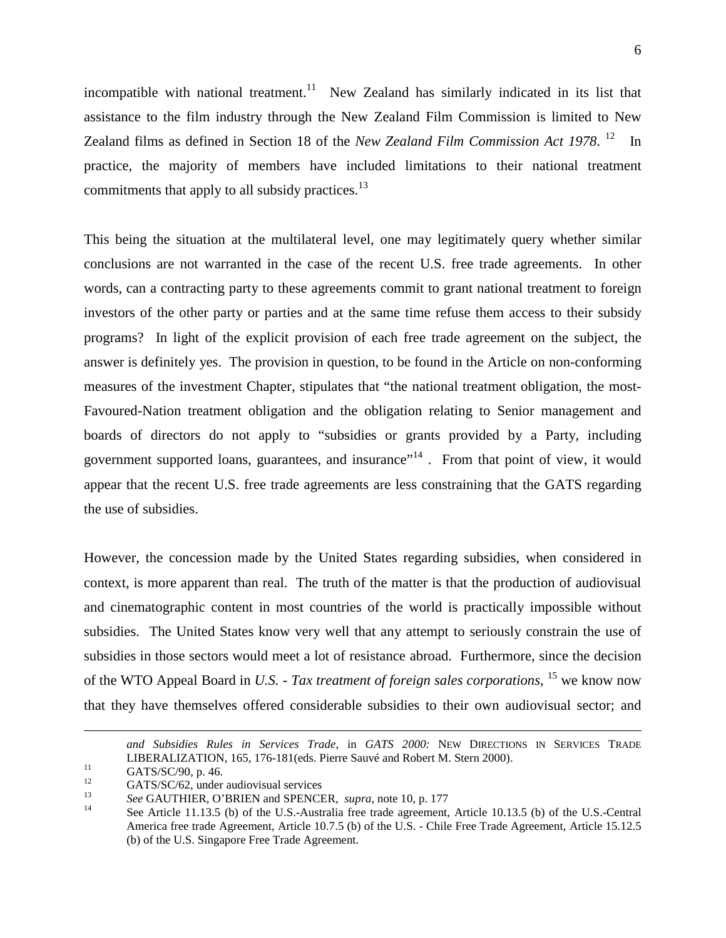incompatible with national treatment.<sup>11</sup> New Zealand has similarly indicated in its list that assistance to the film industry through the New Zealand Film Commission is limited to New Zealand films as defined in Section 18 of the *New Zealand Film Commission Act 1978*. [12](#page-5-1) In practice, the majority of members have included limitations to their national treatment commitments that apply to all subsidy practices.<sup>[13](#page-5-2)</sup>

This being the situation at the multilateral level, one may legitimately query whether similar conclusions are not warranted in the case of the recent U.S. free trade agreements. In other words, can a contracting party to these agreements commit to grant national treatment to foreign investors of the other party or parties and at the same time refuse them access to their subsidy programs? In light of the explicit provision of each free trade agreement on the subject, the answer is definitely yes. The provision in question, to be found in the Article on non-conforming measures of the investment Chapter, stipulates that "the national treatment obligation, the most-Favoured-Nation treatment obligation and the obligation relating to Senior management and boards of directors do not apply to "subsidies or grants provided by a Party, including government supported loans, guarantees, and insurance"<sup>14</sup>. From that point of view, it would appear that the recent U.S. free trade agreements are less constraining that the GATS regarding the use of subsidies.

However, the concession made by the United States regarding subsidies, when considered in context, is more apparent than real. The truth of the matter is that the production of audiovisual and cinematographic content in most countries of the world is practically impossible without subsidies. The United States know very well that any attempt to seriously constrain the use of subsidies in those sectors would meet a lot of resistance abroad. Furthermore, since the decision of the WTO Appeal Board in *U.S. - Tax treatment of foreign sales corporations*, [15](#page-5-4) we know now that they have themselves offered considerable subsidies to their own audiovisual sector; and

 $\overline{a}$ 

<span id="page-5-4"></span>*and Subsidies Rules in Services Trade*, in *GATS 2000:* NEW DIRECTIONS IN SERVICES TRADE LIBERALIZATION, 165, 176-181(eds. Pierre Sauvé and Robert M. Stern 2000).<br>
GATS/SC/90, p. 46.<br>
GATS/SC/62, under audiovisual services<br>
See GAUTHIER, O'BRIEN and SPENCER, *supra*, note 10, p. 177<br>
See Article 11.13.5 (b) of

<span id="page-5-0"></span>

<span id="page-5-1"></span>

<span id="page-5-2"></span>

<span id="page-5-3"></span>America free trade Agreement, Article 10.7.5 (b) of the U.S. - Chile Free Trade Agreement, Article 15.12.5 (b) of the U.S. Singapore Free Trade Agreement.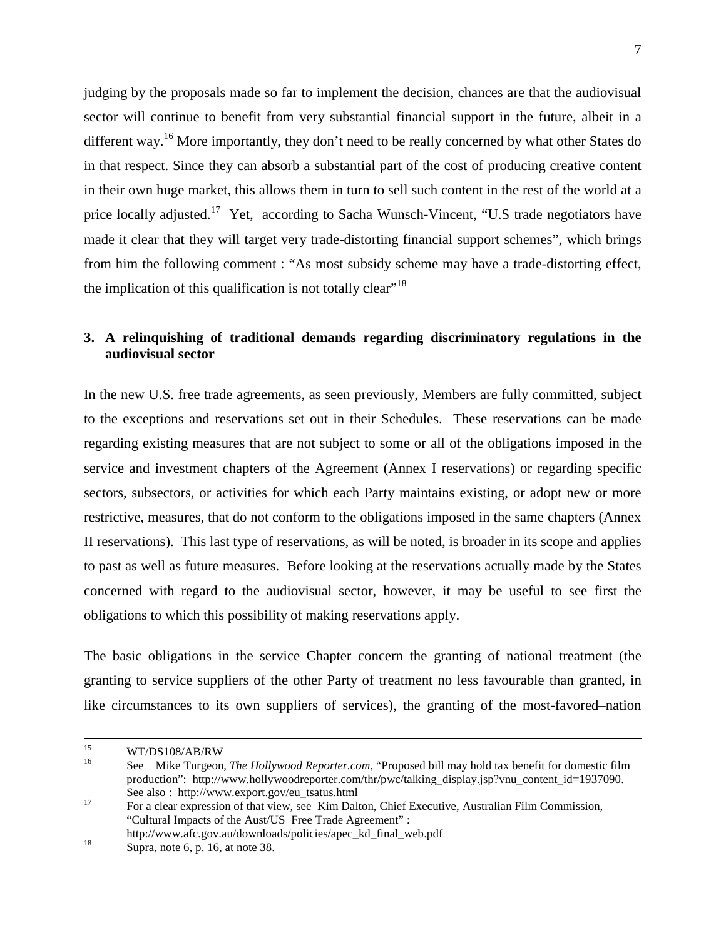judging by the proposals made so far to implement the decision, chances are that the audiovisual sector will continue to benefit from very substantial financial support in the future, albeit in a different way.<sup>16</sup> More importantly, they don't need to be really concerned by what other States do in that respect. Since they can absorb a substantial part of the cost of producing creative content in their own huge market, this allows them in turn to sell such content in the rest of the world at a price locally adjusted.<sup>17</sup> Yet, according to Sacha Wunsch-Vincent, "U.S trade negotiators have made it clear that they will target very trade-distorting financial support schemes", which brings from him the following comment : "As most subsidy scheme may have a trade-distorting effect, the implication of this qualification is not totally clear"<sup>[18](#page-6-2)</sup>

# **3. A relinquishing of traditional demands regarding discriminatory regulations in the audiovisual sector**

In the new U.S. free trade agreements, as seen previously, Members are fully committed, subject to the exceptions and reservations set out in their Schedules. These reservations can be made regarding existing measures that are not subject to some or all of the obligations imposed in the service and investment chapters of the Agreement (Annex I reservations) or regarding specific sectors, subsectors, or activities for which each Party maintains existing, or adopt new or more restrictive, measures, that do not conform to the obligations imposed in the same chapters (Annex II reservations). This last type of reservations, as will be noted, is broader in its scope and applies to past as well as future measures. Before looking at the reservations actually made by the States concerned with regard to the audiovisual sector, however, it may be useful to see first the obligations to which this possibility of making reservations apply.

The basic obligations in the service Chapter concern the granting of national treatment (the granting to service suppliers of the other Party of treatment no less favourable than granted, in like circumstances to its own suppliers of services), the granting of the most-favored–nation

<span id="page-6-0"></span>

<sup>15</sup> WT/DS108/AB/RW <sup>16</sup> See Mike Turgeon, *The Hollywood Reporter.com*, "Proposed bill may hold tax benefit for domestic film production": http://www.hollywoodreporter.com/thr/pwc/talking\_display.jsp?vnu\_content\_id=1937090. See also : http://www.export.gov/eu\_tsatus.html<br>
<sup>17</sup> For a clear expression of that view, see Kim Dalton, Chief Executive, Australian Film Commission,

<span id="page-6-1"></span><sup>&</sup>quot;Cultural Impacts of the Aust/US Free Trade Agreement" : http://www.afc.gov.au/downloads/policies/apec\_kd\_final\_web.pdf Supra, note 6, p. 16, at note 38.

<span id="page-6-2"></span>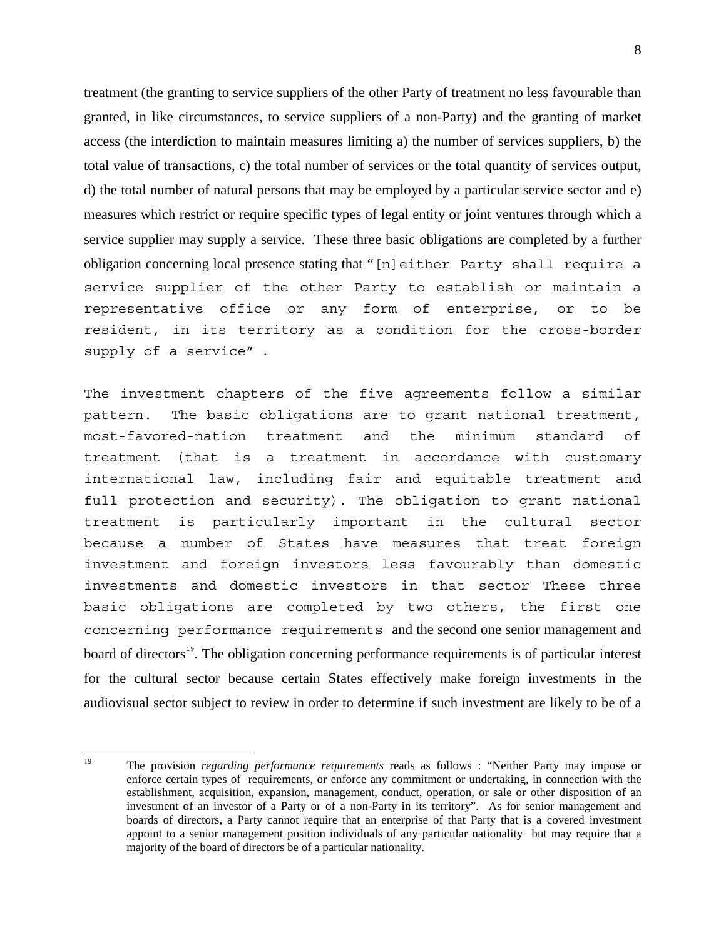treatment (the granting to service suppliers of the other Party of treatment no less favourable than granted, in like circumstances, to service suppliers of a non-Party) and the granting of market access (the interdiction to maintain measures limiting a) the number of services suppliers, b) the total value of transactions, c) the total number of services or the total quantity of services output, d) the total number of natural persons that may be employed by a particular service sector and e) measures which restrict or require specific types of legal entity or joint ventures through which a service supplier may supply a service. These three basic obligations are completed by a further obligation concerning local presence stating that "[n]either Party shall require a service supplier of the other Party to establish or maintain a representative office or any form of enterprise, or to be resident, in its territory as a condition for the cross-border supply of a service" .

The investment chapters of the five agreements follow a similar pattern. The basic obligations are to grant national treatment, most-favored-nation treatment and the minimum standard of treatment (that is a treatment in accordance with customary international law, including fair and equitable treatment and full protection and security). The obligation to grant national treatment is particularly important in the cultural sector because a number of States have measures that treat foreign investment and foreign investors less favourably than domestic investments and domestic investors in that sector These three basic obligations are completed by two others, the first one concerning performance requirements and the second one senior management and board of directors<sup>[19](#page-7-0)</sup>. The obligation concerning performance requirements is of particular interest for the cultural sector because certain States effectively make foreign investments in the audiovisual sector subject to review in order to determine if such investment are likely to be of a

<span id="page-7-0"></span> $19$ 19 The provision *regarding performance requirements* reads as follows : "Neither Party may impose or enforce certain types of requirements, or enforce any commitment or undertaking, in connection with the establishment, acquisition, expansion, management, conduct, operation, or sale or other disposition of an investment of an investor of a Party or of a non-Party in its territory". As for senior management and boards of directors, a Party cannot require that an enterprise of that Party that is a covered investment appoint to a senior management position individuals of any particular nationality but may require that a majority of the board of directors be of a particular nationality.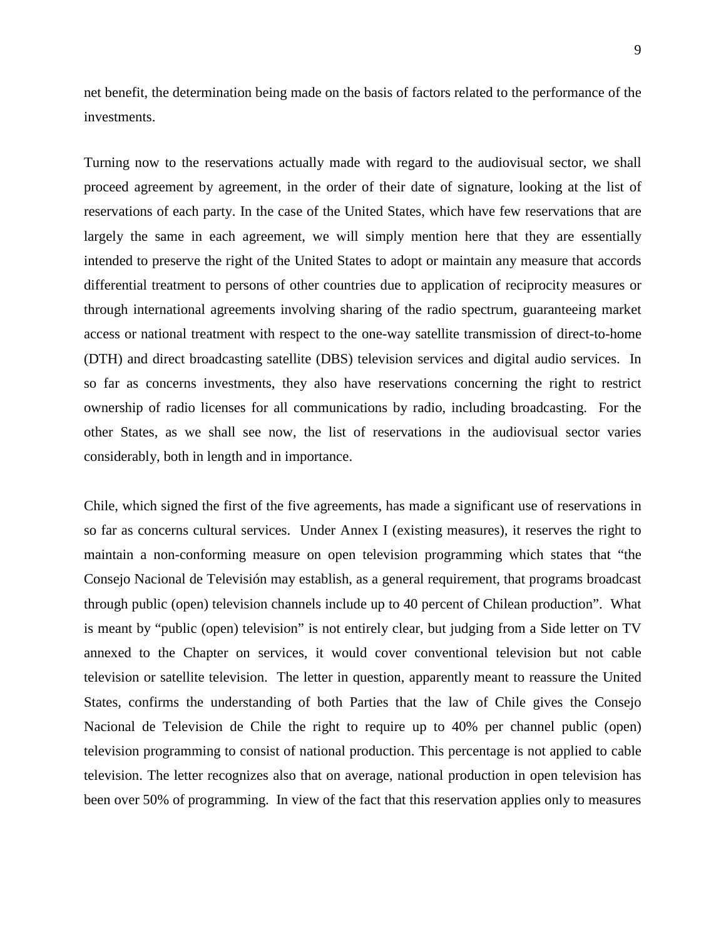net benefit, the determination being made on the basis of factors related to the performance of the investments.

Turning now to the reservations actually made with regard to the audiovisual sector, we shall proceed agreement by agreement, in the order of their date of signature, looking at the list of reservations of each party. In the case of the United States, which have few reservations that are largely the same in each agreement, we will simply mention here that they are essentially intended to preserve the right of the United States to adopt or maintain any measure that accords differential treatment to persons of other countries due to application of reciprocity measures or through international agreements involving sharing of the radio spectrum, guaranteeing market access or national treatment with respect to the one-way satellite transmission of direct-to-home (DTH) and direct broadcasting satellite (DBS) television services and digital audio services. In so far as concerns investments, they also have reservations concerning the right to restrict ownership of radio licenses for all communications by radio, including broadcasting. For the other States, as we shall see now, the list of reservations in the audiovisual sector varies considerably, both in length and in importance.

Chile, which signed the first of the five agreements, has made a significant use of reservations in so far as concerns cultural services. Under Annex I (existing measures), it reserves the right to maintain a non-conforming measure on open television programming which states that "the Consejo Nacional de Televisión may establish, as a general requirement, that programs broadcast through public (open) television channels include up to 40 percent of Chilean production". What is meant by "public (open) television" is not entirely clear, but judging from a Side letter on TV annexed to the Chapter on services, it would cover conventional television but not cable television or satellite television. The letter in question, apparently meant to reassure the United States, confirms the understanding of both Parties that the law of Chile gives the Consejo Nacional de Television de Chile the right to require up to 40% per channel public (open) television programming to consist of national production. This percentage is not applied to cable television. The letter recognizes also that on average, national production in open television has been over 50% of programming. In view of the fact that this reservation applies only to measures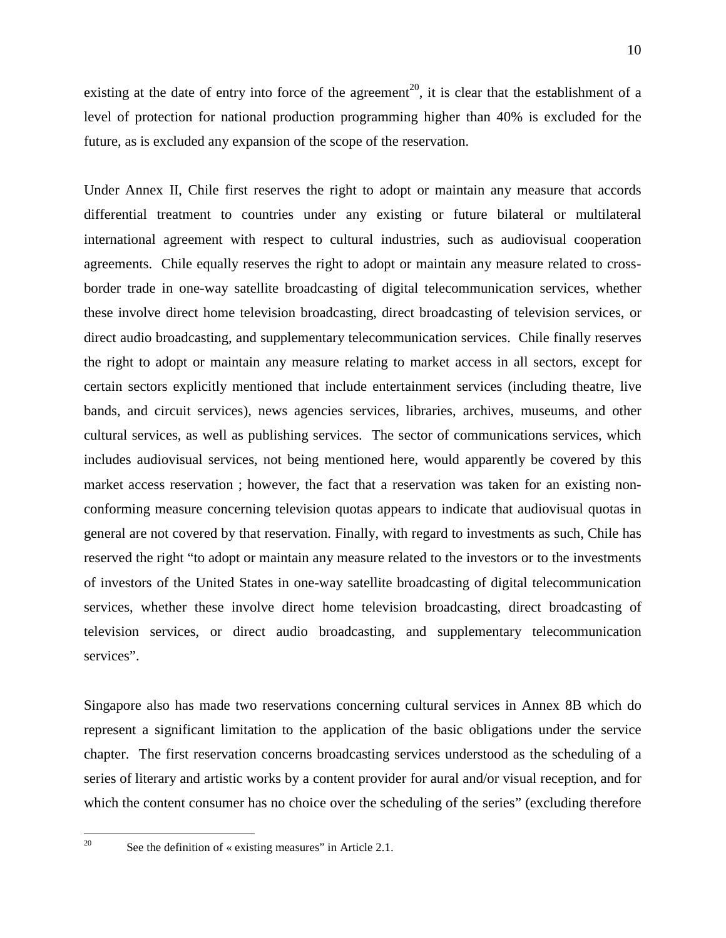existing at the date of entry into force of the agreement<sup>[20](#page-9-0)</sup>, it is clear that the establishment of a level of protection for national production programming higher than 40% is excluded for the future, as is excluded any expansion of the scope of the reservation.

Under Annex II, Chile first reserves the right to adopt or maintain any measure that accords differential treatment to countries under any existing or future bilateral or multilateral international agreement with respect to cultural industries, such as audiovisual cooperation agreements. Chile equally reserves the right to adopt or maintain any measure related to crossborder trade in one-way satellite broadcasting of digital telecommunication services, whether these involve direct home television broadcasting, direct broadcasting of television services, or direct audio broadcasting, and supplementary telecommunication services. Chile finally reserves the right to adopt or maintain any measure relating to market access in all sectors, except for certain sectors explicitly mentioned that include entertainment services (including theatre, live bands, and circuit services), news agencies services, libraries, archives, museums, and other cultural services, as well as publishing services. The sector of communications services, which includes audiovisual services, not being mentioned here, would apparently be covered by this market access reservation ; however, the fact that a reservation was taken for an existing nonconforming measure concerning television quotas appears to indicate that audiovisual quotas in general are not covered by that reservation. Finally, with regard to investments as such, Chile has reserved the right "to adopt or maintain any measure related to the investors or to the investments of investors of the United States in one-way satellite broadcasting of digital telecommunication services, whether these involve direct home television broadcasting, direct broadcasting of television services, or direct audio broadcasting, and supplementary telecommunication services".

Singapore also has made two reservations concerning cultural services in Annex 8B which do represent a significant limitation to the application of the basic obligations under the service chapter. The first reservation concerns broadcasting services understood as the scheduling of a series of literary and artistic works by a content provider for aural and/or visual reception, and for which the content consumer has no choice over the scheduling of the series" (excluding therefore

<span id="page-9-0"></span>20

See the definition of « existing measures" in Article 2.1.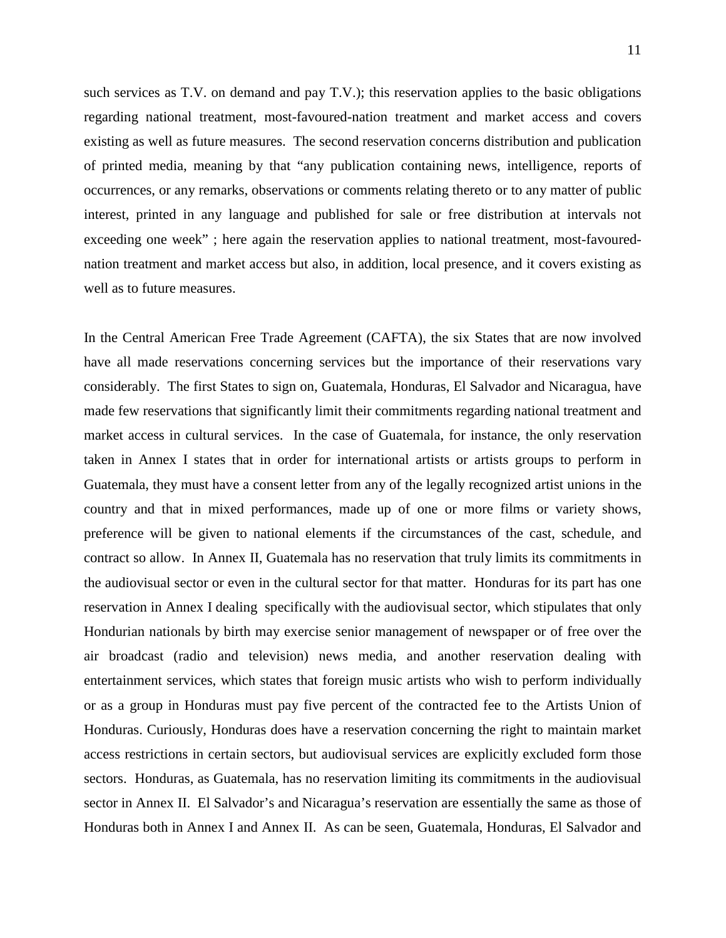such services as T.V. on demand and pay T.V.); this reservation applies to the basic obligations regarding national treatment, most-favoured-nation treatment and market access and covers existing as well as future measures. The second reservation concerns distribution and publication of printed media, meaning by that "any publication containing news, intelligence, reports of occurrences, or any remarks, observations or comments relating thereto or to any matter of public interest, printed in any language and published for sale or free distribution at intervals not exceeding one week" ; here again the reservation applies to national treatment, most-favourednation treatment and market access but also, in addition, local presence, and it covers existing as well as to future measures.

In the Central American Free Trade Agreement (CAFTA), the six States that are now involved have all made reservations concerning services but the importance of their reservations vary considerably. The first States to sign on, Guatemala, Honduras, El Salvador and Nicaragua, have made few reservations that significantly limit their commitments regarding national treatment and market access in cultural services. In the case of Guatemala, for instance, the only reservation taken in Annex I states that in order for international artists or artists groups to perform in Guatemala, they must have a consent letter from any of the legally recognized artist unions in the country and that in mixed performances, made up of one or more films or variety shows, preference will be given to national elements if the circumstances of the cast, schedule, and contract so allow. In Annex II, Guatemala has no reservation that truly limits its commitments in the audiovisual sector or even in the cultural sector for that matter. Honduras for its part has one reservation in Annex I dealing specifically with the audiovisual sector, which stipulates that only Hondurian nationals by birth may exercise senior management of newspaper or of free over the air broadcast (radio and television) news media, and another reservation dealing with entertainment services, which states that foreign music artists who wish to perform individually or as a group in Honduras must pay five percent of the contracted fee to the Artists Union of Honduras. Curiously, Honduras does have a reservation concerning the right to maintain market access restrictions in certain sectors, but audiovisual services are explicitly excluded form those sectors. Honduras, as Guatemala, has no reservation limiting its commitments in the audiovisual sector in Annex II. El Salvador's and Nicaragua's reservation are essentially the same as those of Honduras both in Annex I and Annex II. As can be seen, Guatemala, Honduras, El Salvador and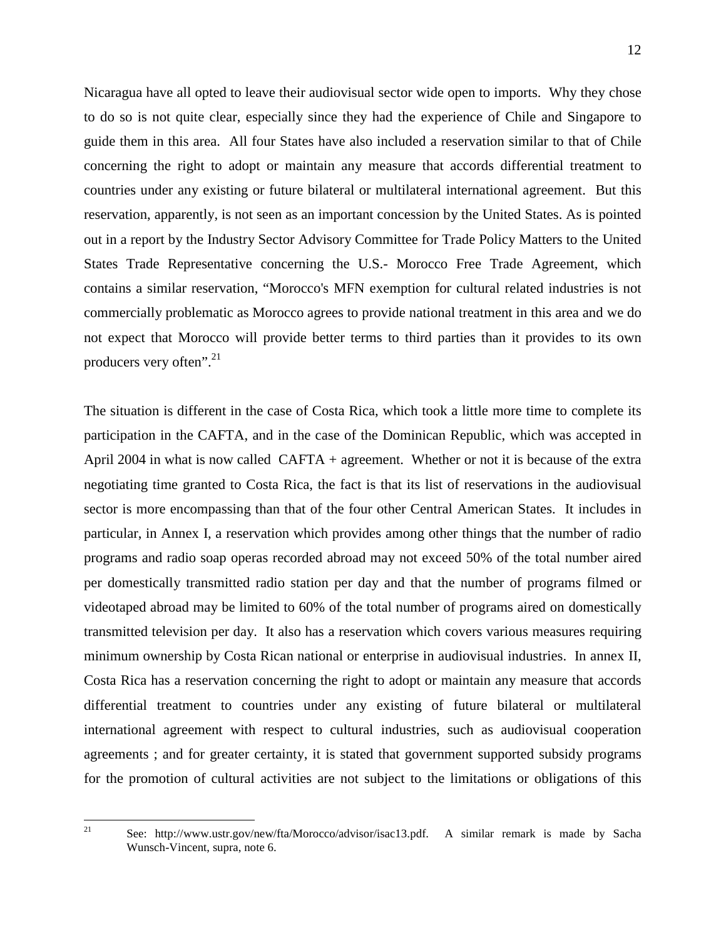Nicaragua have all opted to leave their audiovisual sector wide open to imports. Why they chose to do so is not quite clear, especially since they had the experience of Chile and Singapore to guide them in this area. All four States have also included a reservation similar to that of Chile concerning the right to adopt or maintain any measure that accords differential treatment to countries under any existing or future bilateral or multilateral international agreement. But this reservation, apparently, is not seen as an important concession by the United States. As is pointed out in a report by the Industry Sector Advisory Committee for Trade Policy Matters to the United States Trade Representative concerning the U.S.- Morocco Free Trade Agreement, which contains a similar reservation, "Morocco's MFN exemption for cultural related industries is not commercially problematic as Morocco agrees to provide national treatment in this area and we do not expect that Morocco will provide better terms to third parties than it provides to its own producers very often".<sup>[21](#page-11-0)</sup>

The situation is different in the case of Costa Rica, which took a little more time to complete its participation in the CAFTA, and in the case of the Dominican Republic, which was accepted in April 2004 in what is now called CAFTA + agreement. Whether or not it is because of the extra negotiating time granted to Costa Rica, the fact is that its list of reservations in the audiovisual sector is more encompassing than that of the four other Central American States. It includes in particular, in Annex I, a reservation which provides among other things that the number of radio programs and radio soap operas recorded abroad may not exceed 50% of the total number aired per domestically transmitted radio station per day and that the number of programs filmed or videotaped abroad may be limited to 60% of the total number of programs aired on domestically transmitted television per day. It also has a reservation which covers various measures requiring minimum ownership by Costa Rican national or enterprise in audiovisual industries. In annex II, Costa Rica has a reservation concerning the right to adopt or maintain any measure that accords differential treatment to countries under any existing of future bilateral or multilateral international agreement with respect to cultural industries, such as audiovisual cooperation agreements ; and for greater certainty, it is stated that government supported subsidy programs for the promotion of cultural activities are not subject to the limitations or obligations of this

<span id="page-11-0"></span> $\overline{21}$ 

<sup>21</sup> See: http://www.ustr.gov/new/fta/Morocco/advisor/isac13.pdf. A similar remark is made by Sacha Wunsch-Vincent, supra, note 6.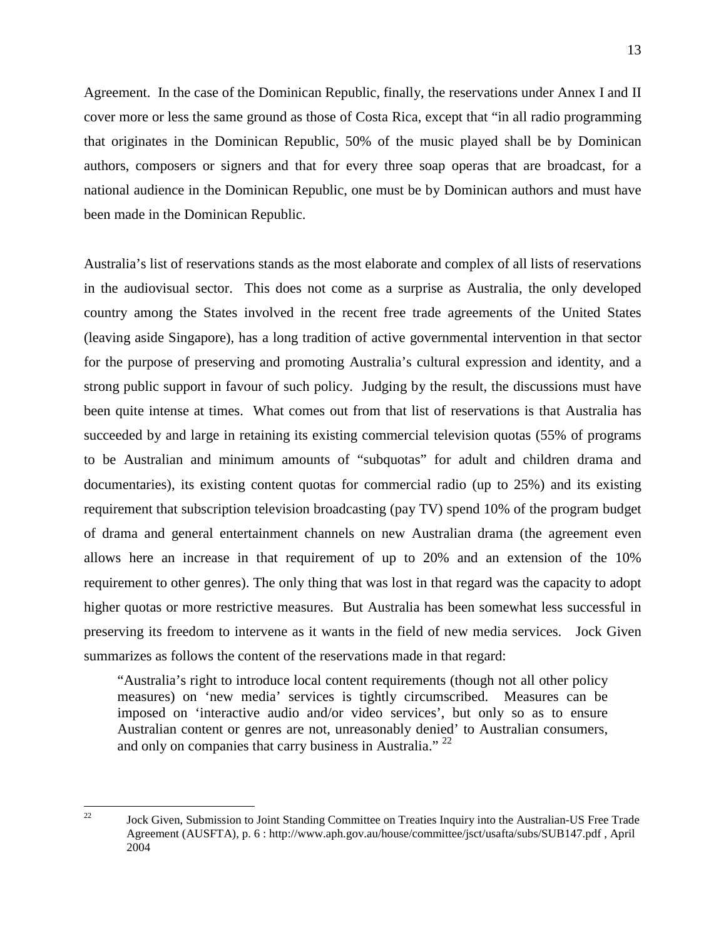13

Agreement. In the case of the Dominican Republic, finally, the reservations under Annex I and II cover more or less the same ground as those of Costa Rica, except that "in all radio programming that originates in the Dominican Republic, 50% of the music played shall be by Dominican authors, composers or signers and that for every three soap operas that are broadcast, for a national audience in the Dominican Republic, one must be by Dominican authors and must have been made in the Dominican Republic.

Australia's list of reservations stands as the most elaborate and complex of all lists of reservations in the audiovisual sector. This does not come as a surprise as Australia, the only developed country among the States involved in the recent free trade agreements of the United States (leaving aside Singapore), has a long tradition of active governmental intervention in that sector for the purpose of preserving and promoting Australia's cultural expression and identity, and a strong public support in favour of such policy. Judging by the result, the discussions must have been quite intense at times. What comes out from that list of reservations is that Australia has succeeded by and large in retaining its existing commercial television quotas (55% of programs to be Australian and minimum amounts of "subquotas" for adult and children drama and documentaries), its existing content quotas for commercial radio (up to 25%) and its existing requirement that subscription television broadcasting (pay TV) spend 10% of the program budget of drama and general entertainment channels on new Australian drama (the agreement even allows here an increase in that requirement of up to 20% and an extension of the 10% requirement to other genres). The only thing that was lost in that regard was the capacity to adopt higher quotas or more restrictive measures. But Australia has been somewhat less successful in preserving its freedom to intervene as it wants in the field of new media services. Jock Given summarizes as follows the content of the reservations made in that regard:

"Australia's right to introduce local content requirements (though not all other policy measures) on 'new media' services is tightly circumscribed. Measures can be imposed on 'interactive audio and/or video services', but only so as to ensure Australian content or genres are not, unreasonably denied' to Australian consumers, and only on companies that carry business in Australia."<sup>[22](#page-12-0)</sup>

<span id="page-12-0"></span> $22$ <sup>22</sup> Jock Given, Submission to Joint Standing Committee on Treaties Inquiry into the Australian-US Free Trade Agreement (AUSFTA), p. 6 : http://www.aph.gov.au/house/committee/jsct/usafta/subs/SUB147.pdf , April 2004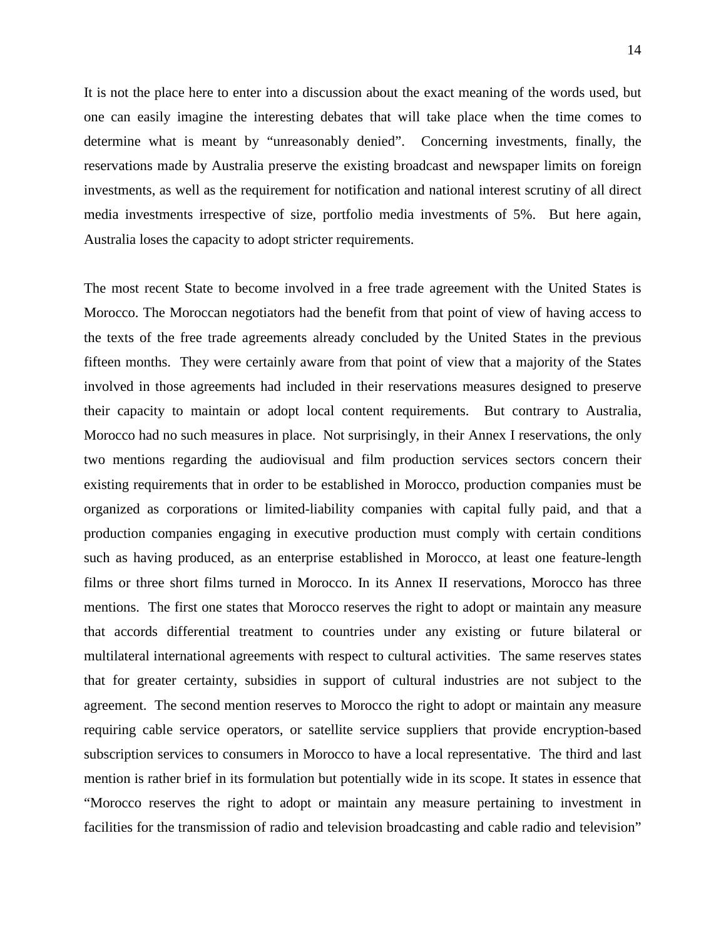It is not the place here to enter into a discussion about the exact meaning of the words used, but one can easily imagine the interesting debates that will take place when the time comes to determine what is meant by "unreasonably denied". Concerning investments, finally, the reservations made by Australia preserve the existing broadcast and newspaper limits on foreign investments, as well as the requirement for notification and national interest scrutiny of all direct media investments irrespective of size, portfolio media investments of 5%. But here again, Australia loses the capacity to adopt stricter requirements.

The most recent State to become involved in a free trade agreement with the United States is Morocco. The Moroccan negotiators had the benefit from that point of view of having access to the texts of the free trade agreements already concluded by the United States in the previous fifteen months. They were certainly aware from that point of view that a majority of the States involved in those agreements had included in their reservations measures designed to preserve their capacity to maintain or adopt local content requirements. But contrary to Australia, Morocco had no such measures in place. Not surprisingly, in their Annex I reservations, the only two mentions regarding the audiovisual and film production services sectors concern their existing requirements that in order to be established in Morocco, production companies must be organized as corporations or limited-liability companies with capital fully paid, and that a production companies engaging in executive production must comply with certain conditions such as having produced, as an enterprise established in Morocco, at least one feature-length films or three short films turned in Morocco. In its Annex II reservations, Morocco has three mentions. The first one states that Morocco reserves the right to adopt or maintain any measure that accords differential treatment to countries under any existing or future bilateral or multilateral international agreements with respect to cultural activities. The same reserves states that for greater certainty, subsidies in support of cultural industries are not subject to the agreement. The second mention reserves to Morocco the right to adopt or maintain any measure requiring cable service operators, or satellite service suppliers that provide encryption-based subscription services to consumers in Morocco to have a local representative. The third and last mention is rather brief in its formulation but potentially wide in its scope. It states in essence that "Morocco reserves the right to adopt or maintain any measure pertaining to investment in facilities for the transmission of radio and television broadcasting and cable radio and television"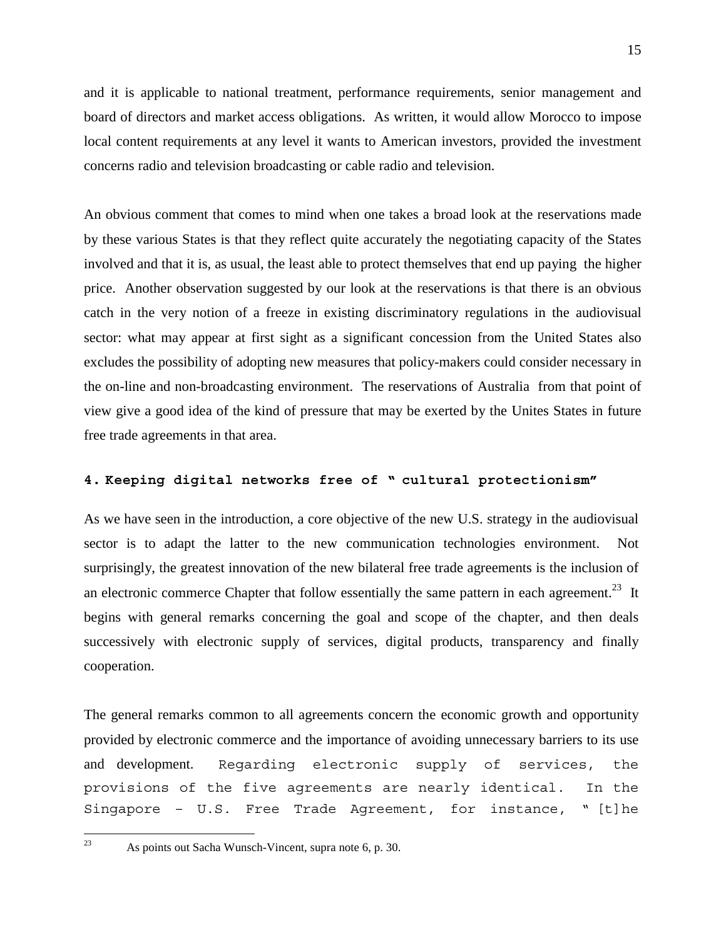and it is applicable to national treatment, performance requirements, senior management and board of directors and market access obligations. As written, it would allow Morocco to impose local content requirements at any level it wants to American investors, provided the investment concerns radio and television broadcasting or cable radio and television.

An obvious comment that comes to mind when one takes a broad look at the reservations made by these various States is that they reflect quite accurately the negotiating capacity of the States involved and that it is, as usual, the least able to protect themselves that end up paying the higher price. Another observation suggested by our look at the reservations is that there is an obvious catch in the very notion of a freeze in existing discriminatory regulations in the audiovisual sector: what may appear at first sight as a significant concession from the United States also excludes the possibility of adopting new measures that policy-makers could consider necessary in the on-line and non-broadcasting environment. The reservations of Australia from that point of view give a good idea of the kind of pressure that may be exerted by the Unites States in future free trade agreements in that area.

### **4. Keeping digital networks free of " cultural protectionism"**

As we have seen in the introduction, a core objective of the new U.S. strategy in the audiovisual sector is to adapt the latter to the new communication technologies environment. Not surprisingly, the greatest innovation of the new bilateral free trade agreements is the inclusion of an electronic commerce Chapter that follow essentially the same pattern in each agreement.<sup>23</sup> It begins with general remarks concerning the goal and scope of the chapter, and then deals successively with electronic supply of services, digital products, transparency and finally cooperation.

The general remarks common to all agreements concern the economic growth and opportunity provided by electronic commerce and the importance of avoiding unnecessary barriers to its use and development. Regarding electronic supply of services, the provisions of the five agreements are nearly identical. In the Singapore – U.S. Free Trade Agreement, for instance, " [t]he

<span id="page-14-0"></span><sup>23</sup> As points out Sacha Wunsch-Vincent, supra note 6, p. 30.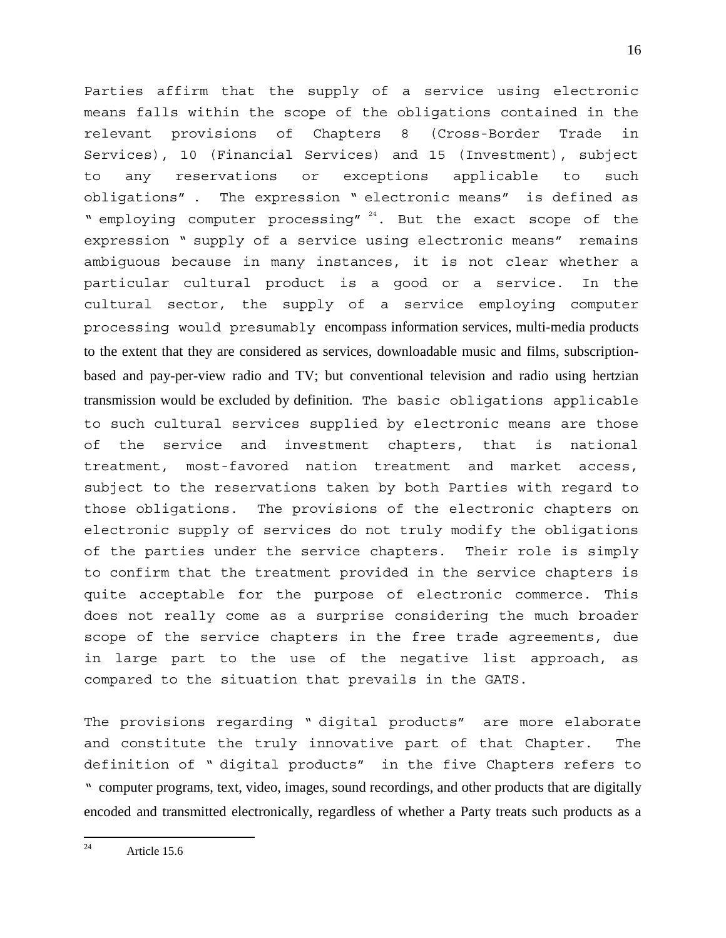Parties affirm that the supply of a service using electronic means falls within the scope of the obligations contained in the relevant provisions of Chapters 8 (Cross-Border Trade in Services), 10 (Financial Services) and 15 (Investment), subject to any reservations or exceptions applicable to such obligations" . The expression " electronic means" is defined as " employing computer processing"  $24$ . But the exact scope of the expression " supply of a service using electronic means" remains ambiguous because in many instances, it is not clear whether a particular cultural product is a good or a service. In the cultural sector, the supply of a service employing computer processing would presumably encompass information services, multi-media products to the extent that they are considered as services, downloadable music and films, subscriptionbased and pay-per-view radio and TV; but conventional television and radio using hertzian transmission would be excluded by definition. The basic obligations applicable to such cultural services supplied by electronic means are those of the service and investment chapters, that is national treatment, most-favored nation treatment and market access, subject to the reservations taken by both Parties with regard to those obligations. The provisions of the electronic chapters on electronic supply of services do not truly modify the obligations of the parties under the service chapters. Their role is simply to confirm that the treatment provided in the service chapters is quite acceptable for the purpose of electronic commerce. This does not really come as a surprise considering the much broader scope of the service chapters in the free trade agreements, due in large part to the use of the negative list approach, as compared to the situation that prevails in the GATS.

The provisions regarding " digital products" are more elaborate and constitute the truly innovative part of that Chapter. The definition of " digital products" in the five Chapters refers to " computer programs, text, video, images, sound recordings, and other products that are digitally encoded and transmitted electronically, regardless of whether a Party treats such products as a

<span id="page-15-0"></span> $24$ Article 15.6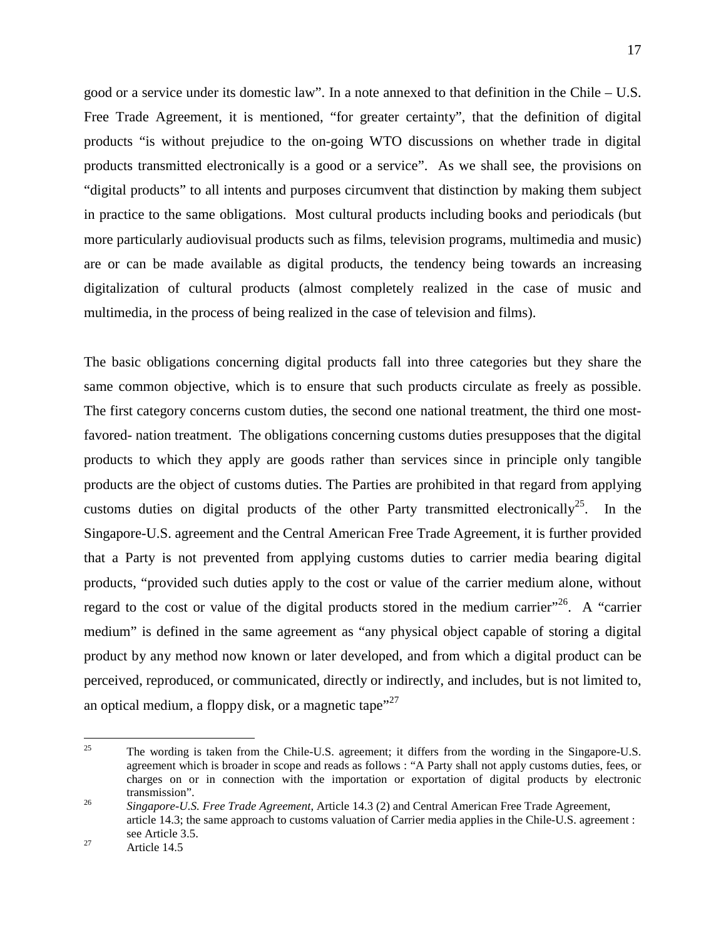good or a service under its domestic law". In a note annexed to that definition in the Chile – U.S. Free Trade Agreement, it is mentioned, "for greater certainty", that the definition of digital products "is without prejudice to the on-going WTO discussions on whether trade in digital products transmitted electronically is a good or a service". As we shall see, the provisions on "digital products" to all intents and purposes circumvent that distinction by making them subject in practice to the same obligations. Most cultural products including books and periodicals (but more particularly audiovisual products such as films, television programs, multimedia and music) are or can be made available as digital products, the tendency being towards an increasing digitalization of cultural products (almost completely realized in the case of music and multimedia, in the process of being realized in the case of television and films).

The basic obligations concerning digital products fall into three categories but they share the same common objective, which is to ensure that such products circulate as freely as possible. The first category concerns custom duties, the second one national treatment, the third one mostfavored- nation treatment. The obligations concerning customs duties presupposes that the digital products to which they apply are goods rather than services since in principle only tangible products are the object of customs duties. The Parties are prohibited in that regard from applying customs duties on digital products of the other Party transmitted electronically<sup>25</sup>. In the Singapore-U.S. agreement and the Central American Free Trade Agreement, it is further provided that a Party is not prevented from applying customs duties to carrier media bearing digital products, "provided such duties apply to the cost or value of the carrier medium alone, without regard to the cost or value of the digital products stored in the medium carrier"<sup>26</sup>. A "carrier" medium" is defined in the same agreement as "any physical object capable of storing a digital product by any method now known or later developed, and from which a digital product can be perceived, reproduced, or communicated, directly or indirectly, and includes, but is not limited to, an optical medium, a floppy disk, or a magnetic tape"<sup>[27](#page-16-2)</sup>

<span id="page-16-0"></span><sup>25</sup> <sup>25</sup> The wording is taken from the Chile-U.S. agreement; it differs from the wording in the Singapore-U.S. agreement which is broader in scope and reads as follows : "A Party shall not apply customs duties, fees, or charges on or in connection with the importation or exportation of digital products by electronic transmission". <sup>26</sup> *Singapore-U.S. Free Trade Agreement*, Article 14.3 (2) and Central American Free Trade Agreement,

<span id="page-16-1"></span>article 14.3; the same approach to customs valuation of Carrier media applies in the Chile-U.S. agreement : see Article 3.5.<br>Article 14.5

<span id="page-16-2"></span>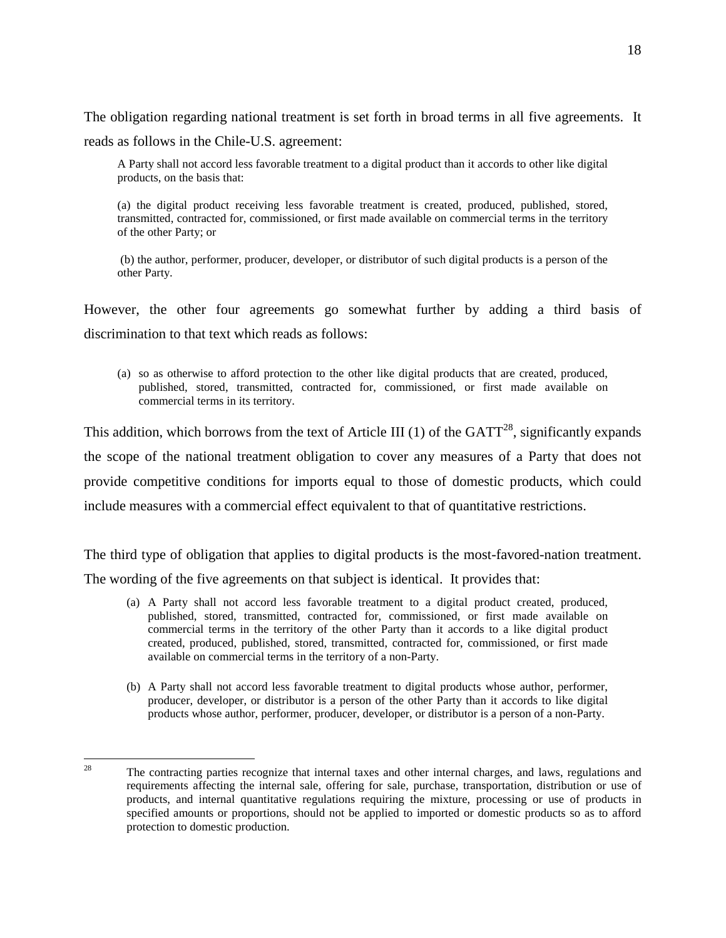The obligation regarding national treatment is set forth in broad terms in all five agreements. It reads as follows in the Chile-U.S. agreement:

A Party shall not accord less favorable treatment to a digital product than it accords to other like digital products, on the basis that:

(a) the digital product receiving less favorable treatment is created, produced, published, stored, transmitted, contracted for, commissioned, or first made available on commercial terms in the territory of the other Party; or

 (b) the author, performer, producer, developer, or distributor of such digital products is a person of the other Party.

However, the other four agreements go somewhat further by adding a third basis of discrimination to that text which reads as follows:

(a) so as otherwise to afford protection to the other like digital products that are created, produced, published, stored, transmitted, contracted for, commissioned, or first made available on commercial terms in its territory.

This addition, which borrows from the text of Article III (1) of the  $GATT^{28}$ , significantly expands the scope of the national treatment obligation to cover any measures of a Party that does not provide competitive conditions for imports equal to those of domestic products, which could include measures with a commercial effect equivalent to that of quantitative restrictions.

The third type of obligation that applies to digital products is the most-favored-nation treatment. The wording of the five agreements on that subject is identical. It provides that:

- (a) A Party shall not accord less favorable treatment to a digital product created, produced, published, stored, transmitted, contracted for, commissioned, or first made available on commercial terms in the territory of the other Party than it accords to a like digital product created, produced, published, stored, transmitted, contracted for, commissioned, or first made available on commercial terms in the territory of a non-Party.
- (b) A Party shall not accord less favorable treatment to digital products whose author, performer, producer, developer, or distributor is a person of the other Party than it accords to like digital products whose author, performer, producer, developer, or distributor is a person of a non-Party.

<span id="page-17-0"></span> $28$ <sup>28</sup> The contracting parties recognize that internal taxes and other internal charges, and laws, regulations and requirements affecting the internal sale, offering for sale, purchase, transportation, distribution or use of products, and internal quantitative regulations requiring the mixture, processing or use of products in specified amounts or proportions, should not be applied to imported or domestic products so as to afford protection to domestic production.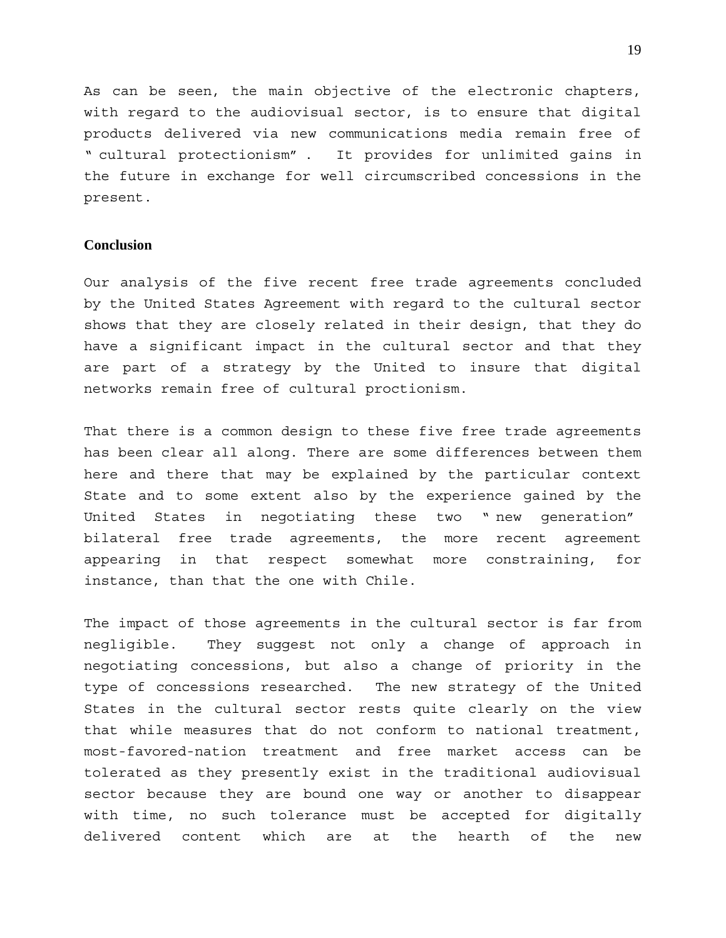As can be seen, the main objective of the electronic chapters, with regard to the audiovisual sector, is to ensure that digital products delivered via new communications media remain free of " cultural protectionism" . It provides for unlimited gains in the future in exchange for well circumscribed concessions in the present.

#### **Conclusion**

Our analysis of the five recent free trade agreements concluded by the United States Agreement with regard to the cultural sector shows that they are closely related in their design, that they do have a significant impact in the cultural sector and that they are part of a strategy by the United to insure that digital networks remain free of cultural proctionism.

That there is a common design to these five free trade agreements has been clear all along. There are some differences between them here and there that may be explained by the particular context State and to some extent also by the experience gained by the United States in negotiating these two " new generation" bilateral free trade agreements, the more recent agreement appearing in that respect somewhat more constraining, for instance, than that the one with Chile.

The impact of those agreements in the cultural sector is far from negligible. They suggest not only a change of approach in negotiating concessions, but also a change of priority in the type of concessions researched. The new strategy of the United States in the cultural sector rests quite clearly on the view that while measures that do not conform to national treatment, most-favored-nation treatment and free market access can be tolerated as they presently exist in the traditional audiovisual sector because they are bound one way or another to disappear with time, no such tolerance must be accepted for digitally delivered content which are at the hearth of the new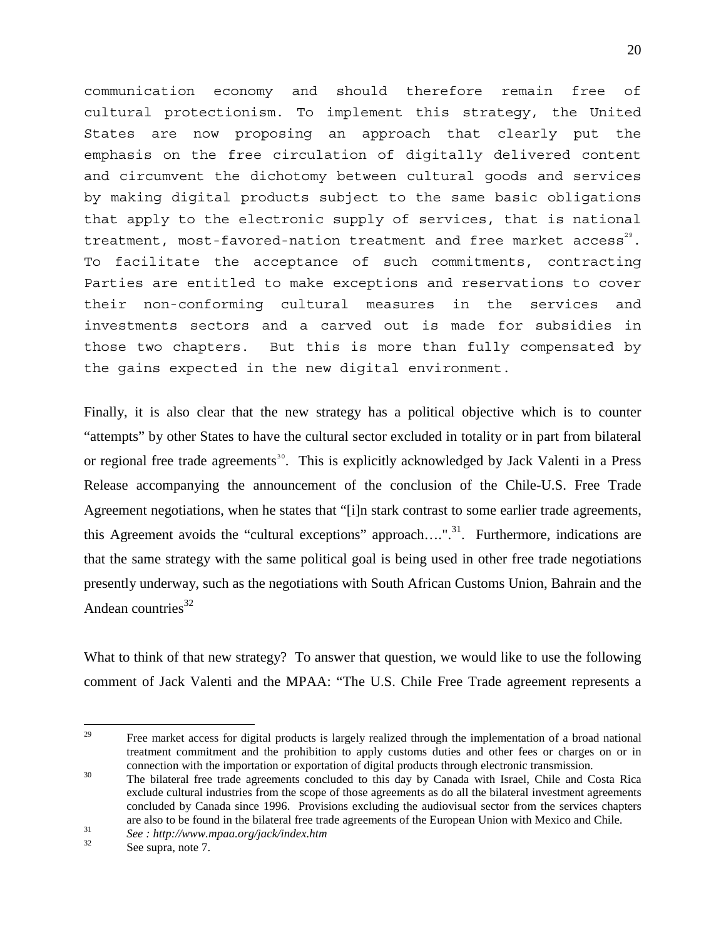communication economy and should therefore remain free of cultural protectionism. To implement this strategy, the United States are now proposing an approach that clearly put the emphasis on the free circulation of digitally delivered content and circumvent the dichotomy between cultural goods and services by making digital products subject to the same basic obligations that apply to the electronic supply of services, that is national treatment, most-favored-nation treatment and free market access<sup>29</sup>. To facilitate the acceptance of such commitments, contracting Parties are entitled to make exceptions and reservations to cover their non-conforming cultural measures in the services and investments sectors and a carved out is made for subsidies in those two chapters. But this is more than fully compensated by the gains expected in the new digital environment.

Finally, it is also clear that the new strategy has a political objective which is to counter "attempts" by other States to have the cultural sector excluded in totality or in part from bilateral or regional free trade agreements<sup>[30](#page-19-1)</sup>. This is explicitly acknowledged by Jack Valenti in a Press Release accompanying the announcement of the conclusion of the Chile-U.S. Free Trade Agreement negotiations, when he states that "[i]n stark contrast to some earlier trade agreements, this Agreement avoids the "cultural exceptions" approach....".<sup>31</sup>. Furthermore, indications are that the same strategy with the same political goal is being used in other free trade negotiations presently underway, such as the negotiations with South African Customs Union, Bahrain and the Andean countries $32$ 

What to think of that new strategy? To answer that question, we would like to use the following comment of Jack Valenti and the MPAA: "The U.S. Chile Free Trade agreement represents a

<span id="page-19-0"></span> $29$ <sup>29</sup> Free market access for digital products is largely realized through the implementation of a broad national treatment commitment and the prohibition to apply customs duties and other fees or charges on or in

<span id="page-19-1"></span>connection with the importation or exportation of digital products through electronic transmission.<br><sup>30</sup> The bilateral free trade agreements concluded to this day by Canada with Israel, Chile and Costa Rica exclude cultural industries from the scope of those agreements as do all the bilateral investment agreements concluded by Canada since 1996. Provisions excluding the audiovisual sector from the services chapters are also to be found in the bilateral free trade agreements of the European Union with Mexico and Chile.<br><sup>31</sup> *See : http://www.mpaa.org/jack/index.htm* <br>See supra, note 7.

<span id="page-19-2"></span>

<span id="page-19-3"></span>